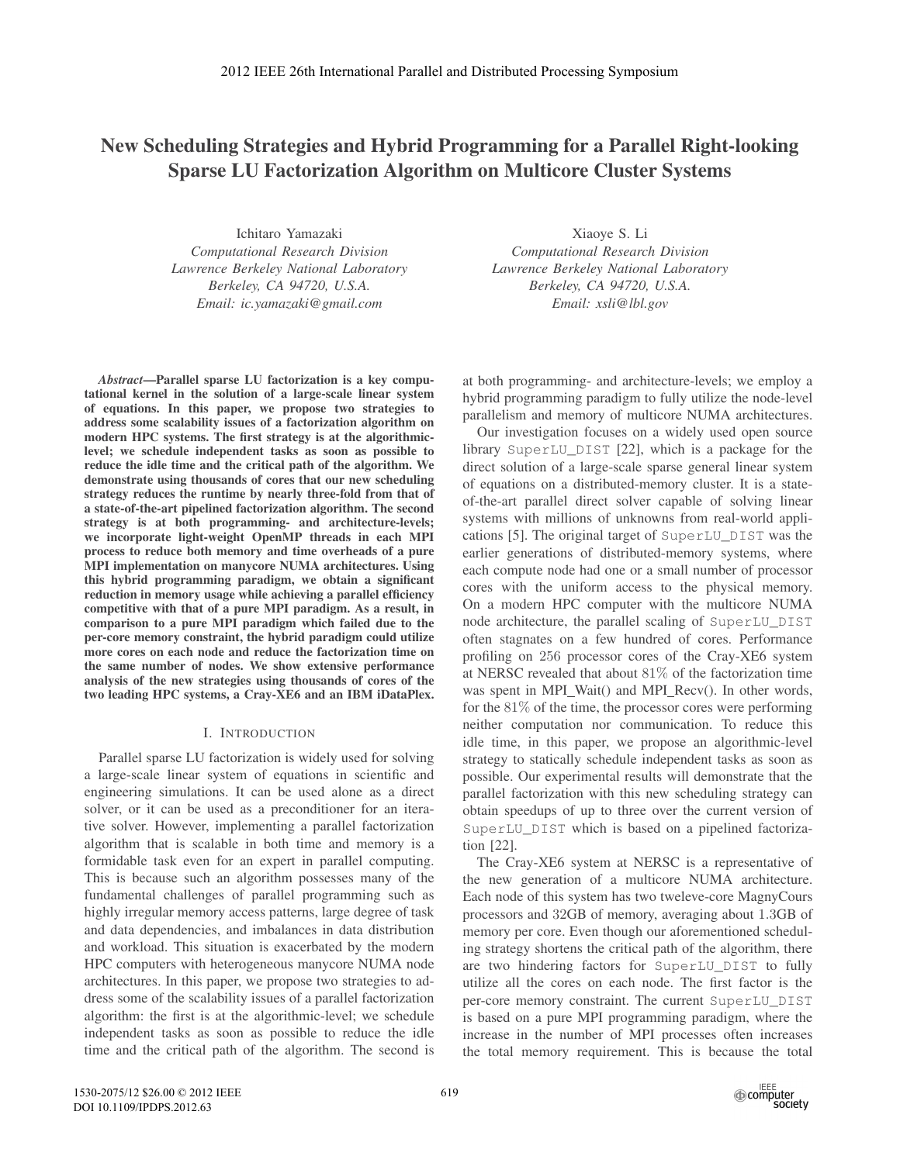# New Scheduling Strategies and Hybrid Programming for a Parallel Right-looking Sparse LU Factorization Algorithm on Multicore Cluster Systems

Ichitaro Yamazaki *Computational Research Division Lawrence Berkeley National Laboratory Berkeley, CA 94720, U.S.A. Email: ic.yamazaki@gmail.com*

*Abstract*—Parallel sparse LU factorization is a key computational kernel in the solution of a large-scale linear system of equations. In this paper, we propose two strategies to address some scalability issues of a factorization algorithm on modern HPC systems. The first strategy is at the algorithmiclevel; we schedule independent tasks as soon as possible to reduce the idle time and the critical path of the algorithm. We demonstrate using thousands of cores that our new scheduling strategy reduces the runtime by nearly three-fold from that of a state-of-the-art pipelined factorization algorithm. The second strategy is at both programming- and architecture-levels; we incorporate light-weight OpenMP threads in each MPI process to reduce both memory and time overheads of a pure MPI implementation on manycore NUMA architectures. Using this hybrid programming paradigm, we obtain a significant reduction in memory usage while achieving a parallel efficiency competitive with that of a pure MPI paradigm. As a result, in comparison to a pure MPI paradigm which failed due to the per-core memory constraint, the hybrid paradigm could utilize more cores on each node and reduce the factorization time on the same number of nodes. We show extensive performance analysis of the new strategies using thousands of cores of the two leading HPC systems, a Cray-XE6 and an IBM iDataPlex.

## I. INTRODUCTION

Parallel sparse LU factorization is widely used for solving a large-scale linear system of equations in scientific and engineering simulations. It can be used alone as a direct solver, or it can be used as a preconditioner for an iterative solver. However, implementing a parallel factorization algorithm that is scalable in both time and memory is a formidable task even for an expert in parallel computing. This is because such an algorithm possesses many of the fundamental challenges of parallel programming such as highly irregular memory access patterns, large degree of task and data dependencies, and imbalances in data distribution and workload. This situation is exacerbated by the modern HPC computers with heterogeneous manycore NUMA node architectures. In this paper, we propose two strategies to address some of the scalability issues of a parallel factorization algorithm: the first is at the algorithmic-level; we schedule independent tasks as soon as possible to reduce the idle time and the critical path of the algorithm. The second is

Xiaoye S. Li *Computational Research Division Lawrence Berkeley National Laboratory Berkeley, CA 94720, U.S.A. Email: xsli@lbl.gov*

at both programming- and architecture-levels; we employ a hybrid programming paradigm to fully utilize the node-level parallelism and memory of multicore NUMA architectures.

Our investigation focuses on a widely used open source library SuperLU\_DIST [22], which is a package for the direct solution of a large-scale sparse general linear system of equations on a distributed-memory cluster. It is a stateof-the-art parallel direct solver capable of solving linear systems with millions of unknowns from real-world applications [5]. The original target of SuperLU\_DIST was the earlier generations of distributed-memory systems, where each compute node had one or a small number of processor cores with the uniform access to the physical memory. On a modern HPC computer with the multicore NUMA node architecture, the parallel scaling of SuperLU\_DIST often stagnates on a few hundred of cores. Performance profiling on 256 processor cores of the Cray-XE6 system at NERSC revealed that about 81% of the factorization time was spent in MPI\_Wait() and MPI\_Recv(). In other words, for the 81% of the time, the processor cores were performing neither computation nor communication. To reduce this idle time, in this paper, we propose an algorithmic-level strategy to statically schedule independent tasks as soon as possible. Our experimental results will demonstrate that the parallel factorization with this new scheduling strategy can obtain speedups of up to three over the current version of SuperLU\_DIST which is based on a pipelined factorization [22].

The Cray-XE6 system at NERSC is a representative of the new generation of a multicore NUMA architecture. Each node of this system has two tweleve-core MagnyCours processors and 32GB of memory, averaging about 1.3GB of memory per core. Even though our aforementioned scheduling strategy shortens the critical path of the algorithm, there are two hindering factors for SuperLU\_DIST to fully utilize all the cores on each node. The first factor is the per-core memory constraint. The current SuperLU\_DIST is based on a pure MPI programming paradigm, where the increase in the number of MPI processes often increases the total memory requirement. This is because the total

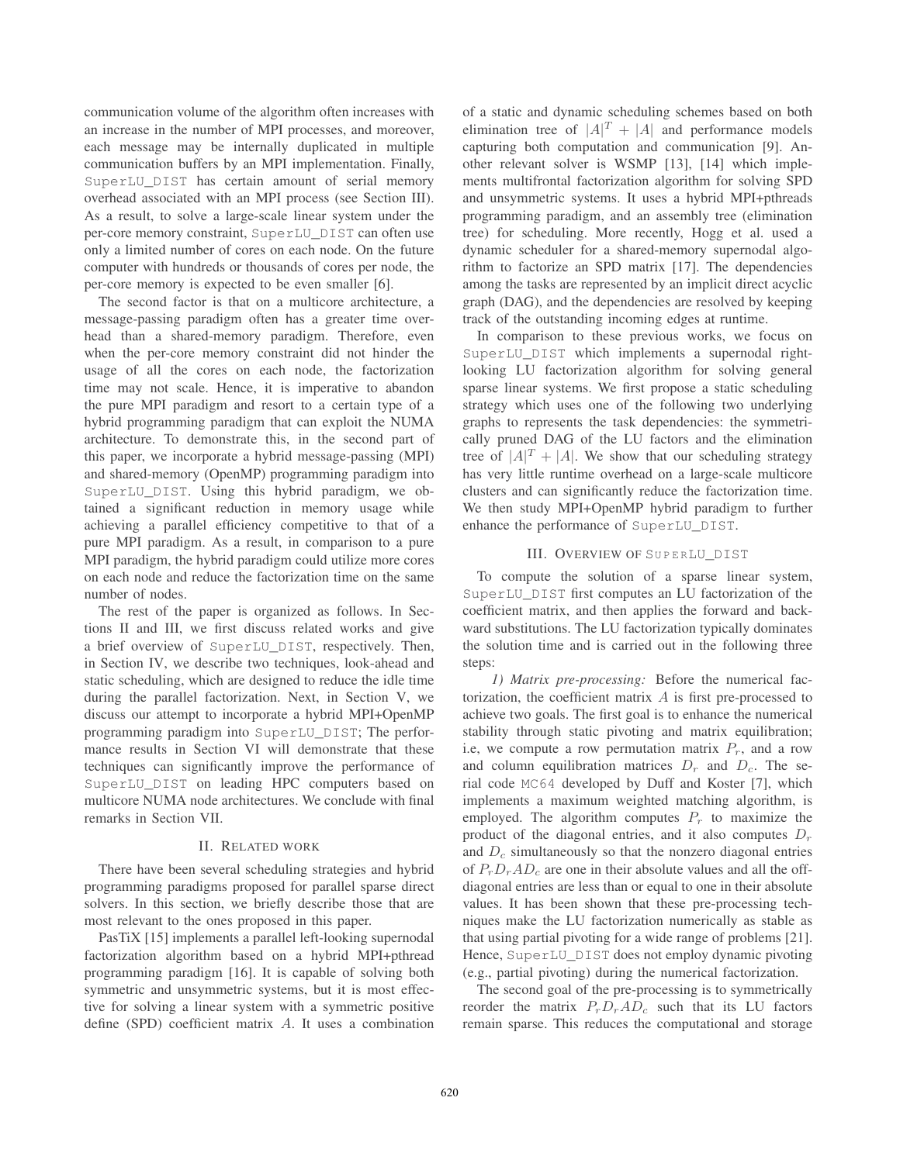communication volume of the algorithm often increases with an increase in the number of MPI processes, and moreover, each message may be internally duplicated in multiple communication buffers by an MPI implementation. Finally, SuperLU\_DIST has certain amount of serial memory overhead associated with an MPI process (see Section III). As a result, to solve a large-scale linear system under the per-core memory constraint, SuperLU\_DIST can often use only a limited number of cores on each node. On the future computer with hundreds or thousands of cores per node, the per-core memory is expected to be even smaller [6].

The second factor is that on a multicore architecture, a message-passing paradigm often has a greater time overhead than a shared-memory paradigm. Therefore, even when the per-core memory constraint did not hinder the usage of all the cores on each node, the factorization time may not scale. Hence, it is imperative to abandon the pure MPI paradigm and resort to a certain type of a hybrid programming paradigm that can exploit the NUMA architecture. To demonstrate this, in the second part of this paper, we incorporate a hybrid message-passing (MPI) and shared-memory (OpenMP) programming paradigm into SuperLU\_DIST. Using this hybrid paradigm, we obtained a significant reduction in memory usage while achieving a parallel efficiency competitive to that of a pure MPI paradigm. As a result, in comparison to a pure MPI paradigm, the hybrid paradigm could utilize more cores on each node and reduce the factorization time on the same number of nodes.

The rest of the paper is organized as follows. In Sections II and III, we first discuss related works and give a brief overview of SuperLU\_DIST, respectively. Then, in Section IV, we describe two techniques, look-ahead and static scheduling, which are designed to reduce the idle time during the parallel factorization. Next, in Section V, we discuss our attempt to incorporate a hybrid MPI+OpenMP programming paradigm into SuperLU\_DIST; The performance results in Section VI will demonstrate that these techniques can significantly improve the performance of SuperLU\_DIST on leading HPC computers based on multicore NUMA node architectures. We conclude with final remarks in Section VII.

## II. RELATED WORK

There have been several scheduling strategies and hybrid programming paradigms proposed for parallel sparse direct solvers. In this section, we briefly describe those that are most relevant to the ones proposed in this paper.

PasTiX [15] implements a parallel left-looking supernodal factorization algorithm based on a hybrid MPI+pthread programming paradigm [16]. It is capable of solving both symmetric and unsymmetric systems, but it is most effective for solving a linear system with a symmetric positive define (SPD) coefficient matrix A. It uses a combination of a static and dynamic scheduling schemes based on both elimination tree of  $|A|^T + |A|$  and performance models capturing both computation and communication [9]. Another relevant solver is WSMP [13], [14] which implements multifrontal factorization algorithm for solving SPD and unsymmetric systems. It uses a hybrid MPI+pthreads programming paradigm, and an assembly tree (elimination tree) for scheduling. More recently, Hogg et al. used a dynamic scheduler for a shared-memory supernodal algorithm to factorize an SPD matrix [17]. The dependencies among the tasks are represented by an implicit direct acyclic graph (DAG), and the dependencies are resolved by keeping track of the outstanding incoming edges at runtime.

In comparison to these previous works, we focus on SuperLU\_DIST which implements a supernodal rightlooking LU factorization algorithm for solving general sparse linear systems. We first propose a static scheduling strategy which uses one of the following two underlying graphs to represents the task dependencies: the symmetrically pruned DAG of the LU factors and the elimination tree of  $|A|^T + |A|$ . We show that our scheduling strategy has very little runtime overhead on a large-scale multicore clusters and can significantly reduce the factorization time. We then study MPI+OpenMP hybrid paradigm to further enhance the performance of SuperLU\_DIST.

## III. OVERVIEW OF SUPERLU\_DIST

To compute the solution of a sparse linear system, SuperLU\_DIST first computes an LU factorization of the coefficient matrix, and then applies the forward and backward substitutions. The LU factorization typically dominates the solution time and is carried out in the following three steps:

*1) Matrix pre-processing:* Before the numerical factorization, the coefficient matrix A is first pre-processed to achieve two goals. The first goal is to enhance the numerical stability through static pivoting and matrix equilibration; i.e, we compute a row permutation matrix  $P_r$ , and a row and column equilibration matrices  $D_r$  and  $D_c$ . The serial code MC64 developed by Duff and Koster [7], which implements a maximum weighted matching algorithm, is employed. The algorithm computes  $P_r$  to maximize the product of the diagonal entries, and it also computes  $D<sub>r</sub>$ and  $D<sub>c</sub>$  simultaneously so that the nonzero diagonal entries of  $P_r D_r A D_c$  are one in their absolute values and all the offdiagonal entries are less than or equal to one in their absolute values. It has been shown that these pre-processing techniques make the LU factorization numerically as stable as that using partial pivoting for a wide range of problems [21]. Hence, SuperLU\_DIST does not employ dynamic pivoting (e.g., partial pivoting) during the numerical factorization.

The second goal of the pre-processing is to symmetrically reorder the matrix  $P_r D_r A D_c$  such that its LU factors remain sparse. This reduces the computational and storage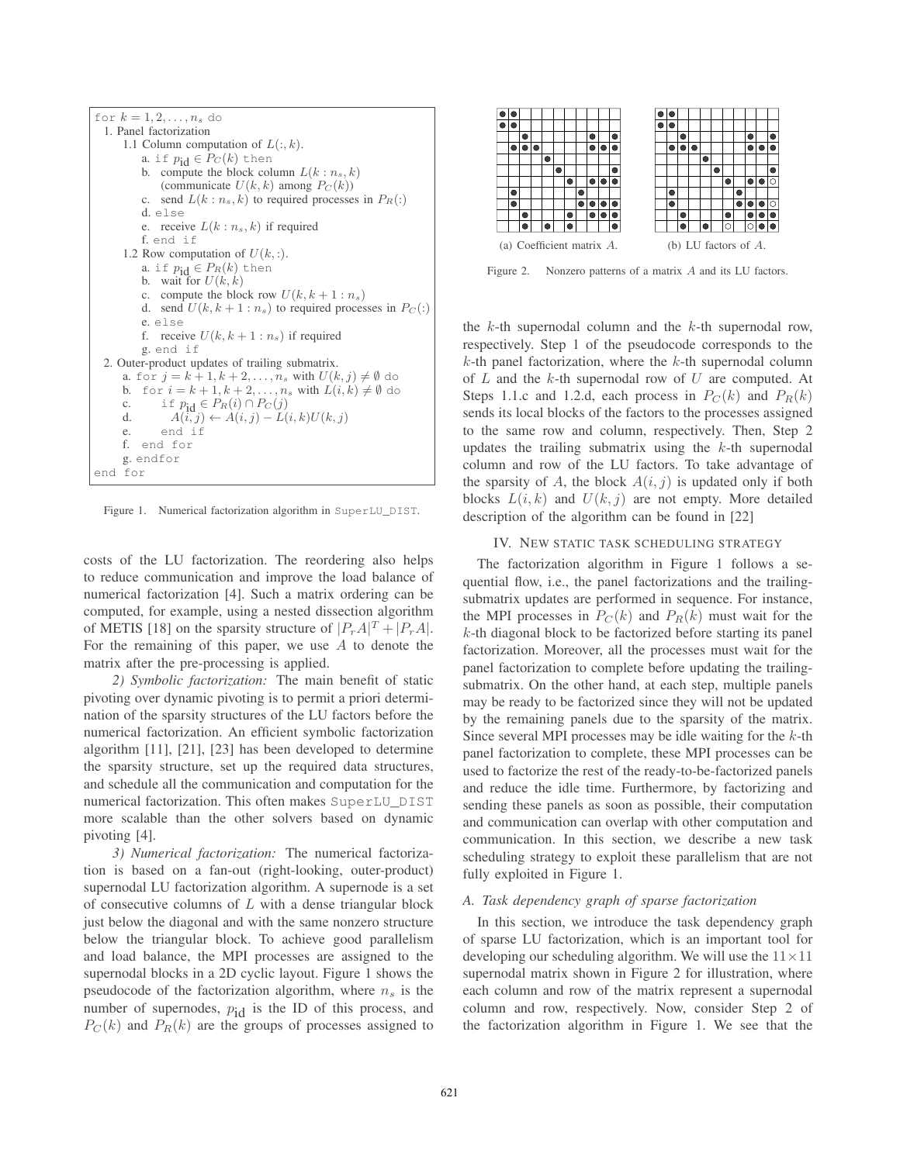

Figure 1. Numerical factorization algorithm in SuperLU\_DIST.

costs of the LU factorization. The reordering also helps to reduce communication and improve the load balance of numerical factorization [4]. Such a matrix ordering can be computed, for example, using a nested dissection algorithm of METIS [18] on the sparsity structure of  $|P_rA|^T + |P_rA|$ . For the remaining of this paper, we use  $A$  to denote the matrix after the pre-processing is applied.

*2) Symbolic factorization:* The main benefit of static pivoting over dynamic pivoting is to permit a priori determination of the sparsity structures of the LU factors before the numerical factorization. An efficient symbolic factorization algorithm [11], [21], [23] has been developed to determine the sparsity structure, set up the required data structures, and schedule all the communication and computation for the numerical factorization. This often makes SuperLU\_DIST more scalable than the other solvers based on dynamic pivoting [4].

*3) Numerical factorization:* The numerical factorization is based on a fan-out (right-looking, outer-product) supernodal LU factorization algorithm. A supernode is a set of consecutive columns of  $L$  with a dense triangular block just below the diagonal and with the same nonzero structure below the triangular block. To achieve good parallelism and load balance, the MPI processes are assigned to the supernodal blocks in a 2D cyclic layout. Figure 1 shows the pseudocode of the factorization algorithm, where  $n<sub>s</sub>$  is the number of supernodes,  $p_{id}$  is the ID of this process, and  $P_C(k)$  and  $P_R(k)$  are the groups of processes assigned to



Figure 2. Nonzero patterns of a matrix A and its LU factors.

the  $k$ -th supernodal column and the  $k$ -th supernodal row, respectively. Step 1 of the pseudocode corresponds to the  $k$ -th panel factorization, where the  $k$ -th supernodal column of  $L$  and the  $k$ -th supernodal row of  $U$  are computed. At Steps 1.1.c and 1.2.d, each process in  $P_C(k)$  and  $P_R(k)$ sends its local blocks of the factors to the processes assigned to the same row and column, respectively. Then, Step 2 updates the trailing submatrix using the  $k$ -th supernodal column and row of the LU factors. To take advantage of the sparsity of A, the block  $A(i, j)$  is updated only if both blocks  $L(i, k)$  and  $U(k, j)$  are not empty. More detailed description of the algorithm can be found in [22]

# IV. NEW STATIC TASK SCHEDULING STRATEGY

The factorization algorithm in Figure 1 follows a sequential flow, i.e., the panel factorizations and the trailingsubmatrix updates are performed in sequence. For instance, the MPI processes in  $P_C(k)$  and  $P_R(k)$  must wait for the k-th diagonal block to be factorized before starting its panel factorization. Moreover, all the processes must wait for the panel factorization to complete before updating the trailingsubmatrix. On the other hand, at each step, multiple panels may be ready to be factorized since they will not be updated by the remaining panels due to the sparsity of the matrix. Since several MPI processes may be idle waiting for the  $k$ -th panel factorization to complete, these MPI processes can be used to factorize the rest of the ready-to-be-factorized panels and reduce the idle time. Furthermore, by factorizing and sending these panels as soon as possible, their computation and communication can overlap with other computation and communication. In this section, we describe a new task scheduling strategy to exploit these parallelism that are not fully exploited in Figure 1.

#### *A. Task dependency graph of sparse factorization*

In this section, we introduce the task dependency graph of sparse LU factorization, which is an important tool for developing our scheduling algorithm. We will use the  $11 \times 11$ supernodal matrix shown in Figure 2 for illustration, where each column and row of the matrix represent a supernodal column and row, respectively. Now, consider Step 2 of the factorization algorithm in Figure 1. We see that the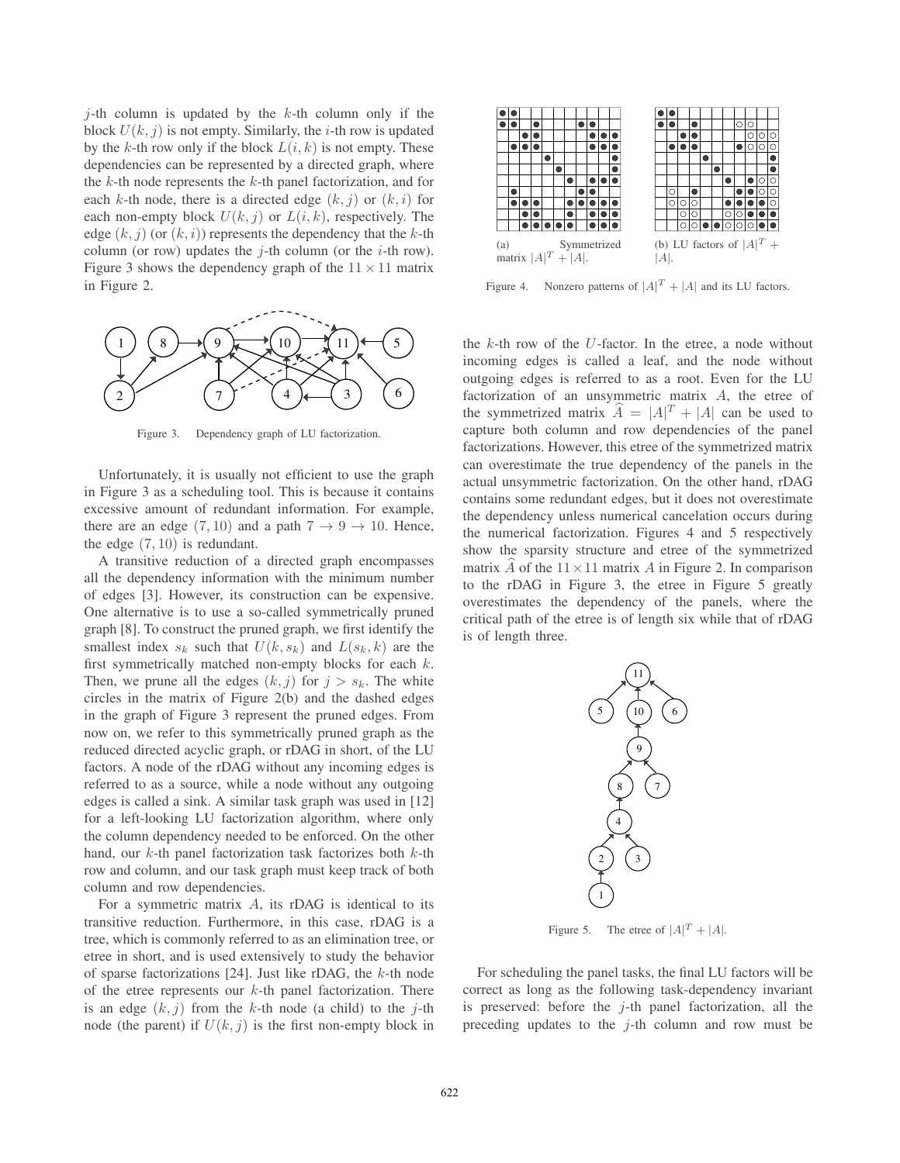$j$ -th column is updated by the  $k$ -th column only if the block  $U(k, j)$  is not empty. Similarly, the *i*-th row is updated by the k-th row only if the block  $L(i, k)$  is not empty. These dependencies can be represented by a directed graph, where the  $k$ -th node represents the  $k$ -th panel factorization, and for each k-th node, there is a directed edge  $(k, j)$  or  $(k, i)$  for each non-empty block  $U(k, j)$  or  $L(i, k)$ , respectively. The edge  $(k, j)$  (or  $(k, i)$ ) represents the dependency that the k-th column (or row) updates the  $j$ -th column (or the *i*-th row). Figure 3 shows the dependency graph of the  $11 \times 11$  matrix in Figure 2.



Figure 3. Dependency graph of LU factorization.

Unfortunately, it is usually not efficient to use the graph in Figure 3 as a scheduling tool. This is because it contains excessive amount of redundant information. For example, there are an edge (7, 10) and a path  $7 \rightarrow 9 \rightarrow 10$ . Hence, the edge  $(7, 10)$  is redundant.

A transitive reduction of a directed graph encompasses all the dependency information with the minimum number of edges [3]. However, its construction can be expensive. One alternative is to use a so-called symmetrically pruned graph [8]. To construct the pruned graph, we first identify the smallest index  $s_k$  such that  $U(k, s_k)$  and  $L(s_k, k)$  are the first symmetrically matched non-empty blocks for each k. Then, we prune all the edges  $(k, j)$  for  $j > s_k$ . The white circles in the matrix of Figure 2(b) and the dashed edges in the graph of Figure 3 represent the pruned edges. From now on, we refer to this symmetrically pruned graph as the reduced directed acyclic graph, or rDAG in short, of the LU factors. A node of the rDAG without any incoming edges is referred to as a source, while a node without any outgoing edges is called a sink. A similar task graph was used in [12] for a left-looking LU factorization algorithm, where only the column dependency needed to be enforced. On the other hand, our  $k$ -th panel factorization task factorizes both  $k$ -th row and column, and our task graph must keep track of both column and row dependencies.

For a symmetric matrix  $A$ , its rDAG is identical to its transitive reduction. Furthermore, in this case, rDAG is a tree, which is commonly referred to as an elimination tree, or etree in short, and is used extensively to study the behavior of sparse factorizations  $[24]$ . Just like rDAG, the k-th node of the etree represents our  $k$ -th panel factorization. There is an edge  $(k, j)$  from the k-th node (a child) to the j-th node (the parent) if  $U(k, j)$  is the first non-empty block in



Figure 4. Nonzero patterns of  $|A|^T + |A|$  and its LU factors.

the  $k$ -th row of the  $U$ -factor. In the etree, a node without incoming edges is called a leaf, and the node without outgoing edges is referred to as a root. Even for the LU factorization of an unsymmetric matrix A, the etree of incoming edges is called a leaf, and the node without<br>outgoing edges is referred to as a root. Even for the LU<br>factorization of an unsymmetric matrix A, the etree of<br>the symmetrized matrix  $\hat{A} = |A|^T + |A|$  can be used to capture both column and row dependencies of the panel factorizations. However, this etree of the symmetrized matrix can overestimate the true dependency of the panels in the actual unsymmetric factorization. On the other hand, rDAG contains some redundant edges, but it does not overestimate the dependency unless numerical cancelation occurs during the numerical factorization. Figures 4 and 5 respectively show the sparsity structure and etree of the symmetrized the depen<br>the nume<br>show the<br>matrix  $\widehat{A}$ matrix A of the  $11 \times 11$  matrix A in Figure 2. In comparison to the rDAG in Figure 3, the etree in Figure 5 greatly overestimates the dependency of the panels, where the critical path of the etree is of length six while that of rDAG is of length three.



Figure 5. The etree of  $|A|^T + |A|$ .

For scheduling the panel tasks, the final LU factors will be correct as long as the following task-dependency invariant is preserved: before the  $j$ -th panel factorization, all the preceding updates to the  $j$ -th column and row must be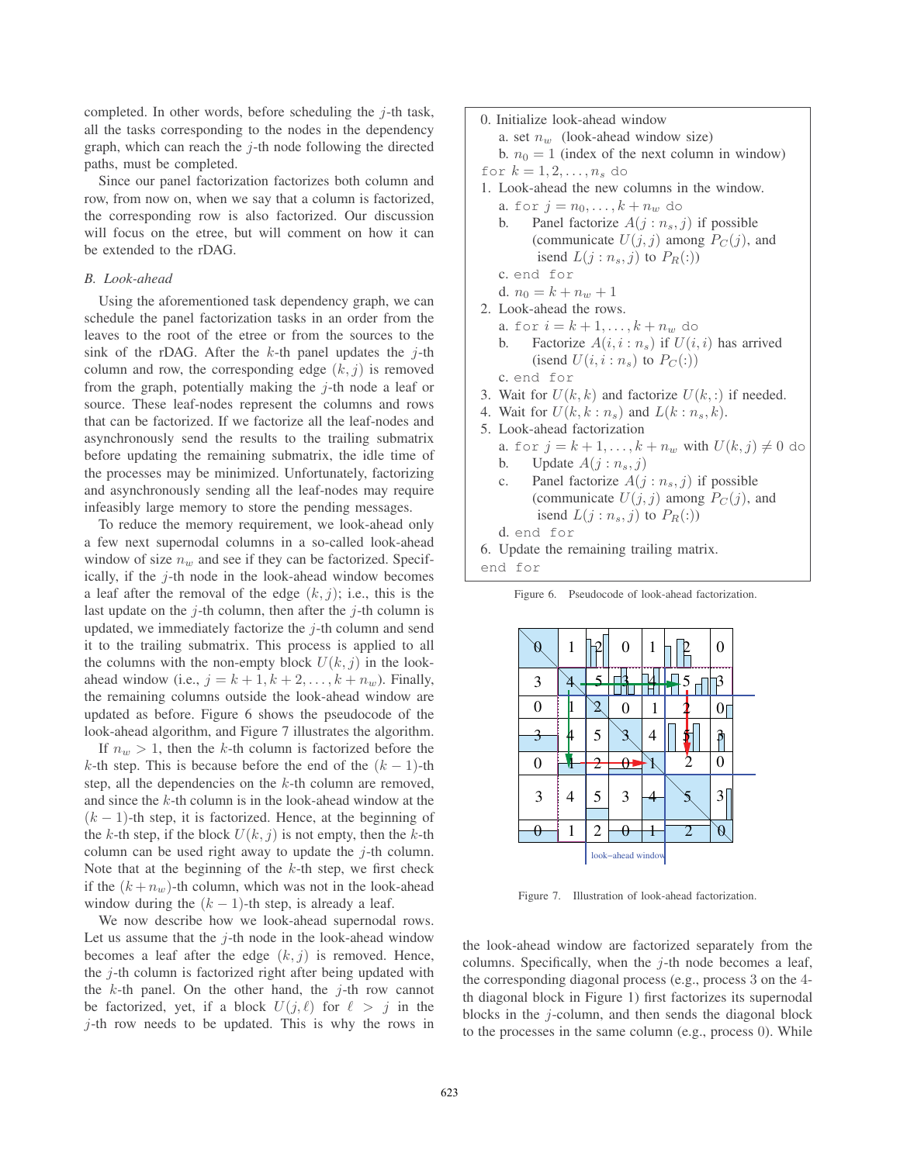completed. In other words, before scheduling the  $j$ -th task, all the tasks corresponding to the nodes in the dependency graph, which can reach the  $j$ -th node following the directed paths, must be completed.

Since our panel factorization factorizes both column and row, from now on, when we say that a column is factorized, the corresponding row is also factorized. Our discussion will focus on the etree, but will comment on how it can be extended to the rDAG.

#### *B. Look-ahead*

Using the aforementioned task dependency graph, we can schedule the panel factorization tasks in an order from the leaves to the root of the etree or from the sources to the sink of the rDAG. After the k-th panel updates the *j*-th column and row, the corresponding edge  $(k, j)$  is removed from the graph, potentially making the  $j$ -th node a leaf or source. These leaf-nodes represent the columns and rows that can be factorized. If we factorize all the leaf-nodes and asynchronously send the results to the trailing submatrix before updating the remaining submatrix, the idle time of the processes may be minimized. Unfortunately, factorizing and asynchronously sending all the leaf-nodes may require infeasibly large memory to store the pending messages.

To reduce the memory requirement, we look-ahead only a few next supernodal columns in a so-called look-ahead window of size  $n_w$  and see if they can be factorized. Specifically, if the j-th node in the look-ahead window becomes a leaf after the removal of the edge  $(k, j)$ ; i.e., this is the last update on the  $j$ -th column, then after the  $j$ -th column is updated, we immediately factorize the  $j$ -th column and send it to the trailing submatrix. This process is applied to all the columns with the non-empty block  $U(k, j)$  in the lookahead window (i.e.,  $j = k + 1, k + 2, \ldots, k + n_w$ ). Finally, the remaining columns outside the look-ahead window are updated as before. Figure 6 shows the pseudocode of the look-ahead algorithm, and Figure 7 illustrates the algorithm.

If  $n_w > 1$ , then the k-th column is factorized before the k-th step. This is because before the end of the  $(k - 1)$ -th step, all the dependencies on the k-th column are removed, and since the k-th column is in the look-ahead window at the  $(k - 1)$ -th step, it is factorized. Hence, at the beginning of the k-th step, if the block  $U(k, j)$  is not empty, then the k-th column can be used right away to update the  $i$ -th column. Note that at the beginning of the  $k$ -th step, we first check if the  $(k + n_w)$ -th column, which was not in the look-ahead window during the  $(k - 1)$ -th step, is already a leaf.

We now describe how we look-ahead supernodal rows. Let us assume that the  $j$ -th node in the look-ahead window becomes a leaf after the edge  $(k, j)$  is removed. Hence, the  $i$ -th column is factorized right after being updated with the  $k$ -th panel. On the other hand, the  $j$ -th row cannot be factorized, yet, if a block  $U(j, \ell)$  for  $\ell > j$  in the j-th row needs to be updated. This is why the rows in 0. Initialize look-ahead window

a. set  $n_w$  (look-ahead window size)

b.  $n_0 = 1$  (index of the next column in window)

for  $k = 1, 2, \ldots, n_s$  do

- 1. Look-ahead the new columns in the window.
- a. for  $j = n_0, \ldots, k + n_w$  do
	- b. Panel factorize  $A(j : n_s, j)$  if possible (communicate  $U(j, j)$  among  $P_C(j)$ , and isend  $L(j : n_s, j)$  to  $P_R(:)$ )
- c. end for
- d.  $n_0 = k + n_w + 1$
- 2. Look-ahead the rows. a. for  $i = k + 1, ..., k + n_w$  do
	- b. Factorize  $A(i, i : n_s)$  if  $U(i, i)$  has arrived (isend  $U(i, i : n<sub>s</sub>)$  to  $P_C(:)$ )
	- c. end for
- 3. Wait for  $U(k, k)$  and factorize  $U(k, :)$  if needed.
- 4. Wait for  $U(k, k : n_s)$  and  $L(k : n_s, k)$ .
- 5. Look-ahead factorization
	- a. for  $j = k + 1, ..., k + n_w$  with  $U(k, j) \neq 0$  do<br>b. Update  $A(i : n_s, i)$
	- Update  $A(j : n_s, j)$
	- c. Panel factorize  $A(j : n_s, j)$  if possible (communicate  $U(j, j)$  among  $P_C(j)$ , and isend  $L(j : n_s, j)$  to  $P_R(:)$ )
- d. end for
- 6. Update the remaining trailing matrix.
- end for

| Figure 6. |  |  |  | Pseudocode of look-ahead factorization. |
|-----------|--|--|--|-----------------------------------------|
|-----------|--|--|--|-----------------------------------------|



Figure 7. Illustration of look-ahead factorization.

the look-ahead window are factorized separately from the columns. Specifically, when the  $j$ -th node becomes a leaf, the corresponding diagonal process (e.g., process 3 on the 4 th diagonal block in Figure 1) first factorizes its supernodal blocks in the j-column, and then sends the diagonal block to the processes in the same column (e.g., process 0). While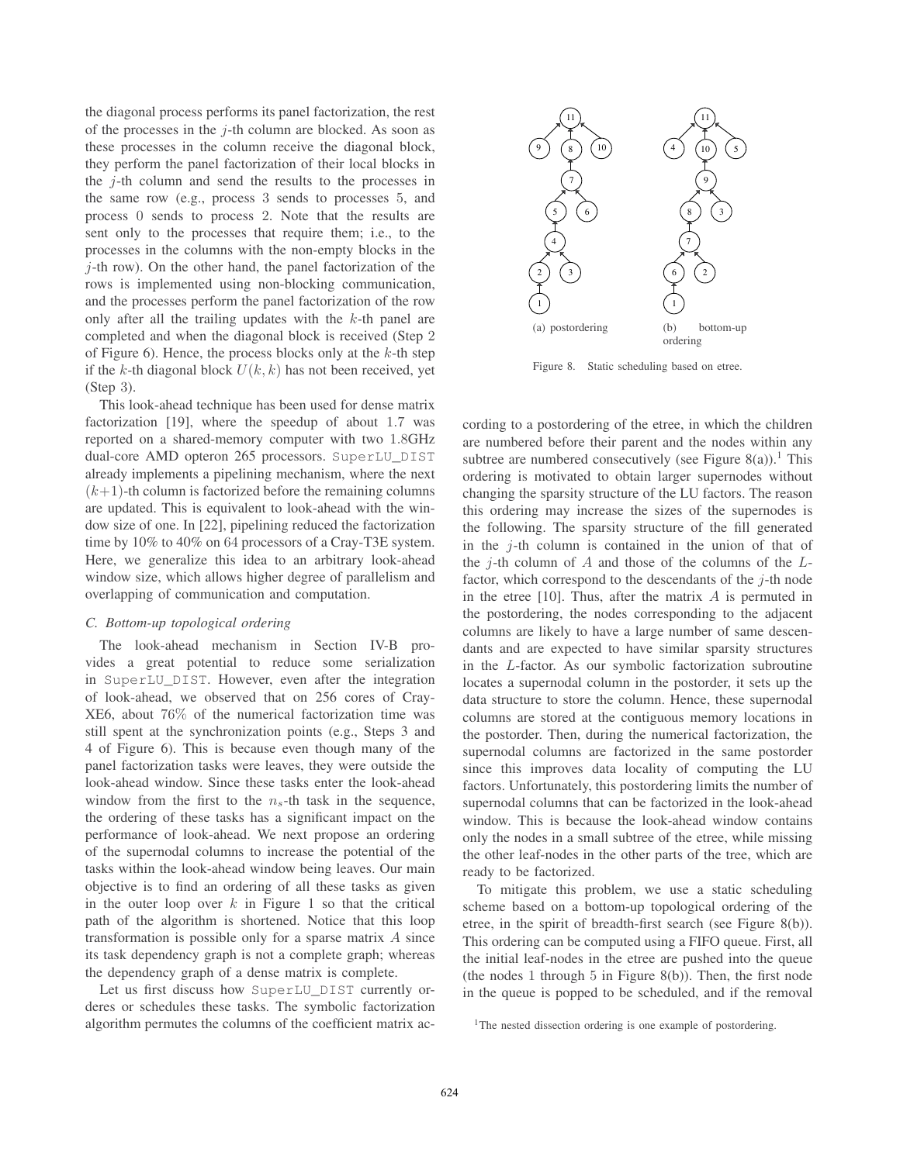the diagonal process performs its panel factorization, the rest of the processes in the  $j$ -th column are blocked. As soon as these processes in the column receive the diagonal block, they perform the panel factorization of their local blocks in the  $j$ -th column and send the results to the processes in the same row (e.g., process 3 sends to processes 5, and process 0 sends to process 2. Note that the results are sent only to the processes that require them; i.e., to the processes in the columns with the non-empty blocks in the  $j$ -th row). On the other hand, the panel factorization of the rows is implemented using non-blocking communication, and the processes perform the panel factorization of the row only after all the trailing updates with the  $k$ -th panel are completed and when the diagonal block is received (Step 2 of Figure 6). Hence, the process blocks only at the  $k$ -th step if the k-th diagonal block  $U(k, k)$  has not been received, yet (Step 3).

This look-ahead technique has been used for dense matrix factorization [19], where the speedup of about 1.7 was reported on a shared-memory computer with two 1.8GHz dual-core AMD opteron 265 processors. SuperLU\_DIST already implements a pipelining mechanism, where the next  $(k+1)$ -th column is factorized before the remaining columns are updated. This is equivalent to look-ahead with the window size of one. In [22], pipelining reduced the factorization time by 10% to 40% on 64 processors of a Cray-T3E system. Here, we generalize this idea to an arbitrary look-ahead window size, which allows higher degree of parallelism and overlapping of communication and computation.

#### *C. Bottom-up topological ordering*

The look-ahead mechanism in Section IV-B provides a great potential to reduce some serialization in SuperLU\_DIST. However, even after the integration of look-ahead, we observed that on 256 cores of Cray-XE6, about 76% of the numerical factorization time was still spent at the synchronization points (e.g., Steps 3 and 4 of Figure 6). This is because even though many of the panel factorization tasks were leaves, they were outside the look-ahead window. Since these tasks enter the look-ahead window from the first to the  $n<sub>s</sub>$ -th task in the sequence, the ordering of these tasks has a significant impact on the performance of look-ahead. We next propose an ordering of the supernodal columns to increase the potential of the tasks within the look-ahead window being leaves. Our main objective is to find an ordering of all these tasks as given in the outer loop over  $k$  in Figure 1 so that the critical path of the algorithm is shortened. Notice that this loop transformation is possible only for a sparse matrix A since its task dependency graph is not a complete graph; whereas the dependency graph of a dense matrix is complete.

Let us first discuss how SuperLU\_DIST currently orderes or schedules these tasks. The symbolic factorization algorithm permutes the columns of the coefficient matrix ac-



Figure 8. Static scheduling based on etree.

cording to a postordering of the etree, in which the children are numbered before their parent and the nodes within any subtree are numbered consecutively (see Figure 8(a)).<sup>1</sup> This ordering is motivated to obtain larger supernodes without changing the sparsity structure of the LU factors. The reason this ordering may increase the sizes of the supernodes is the following. The sparsity structure of the fill generated in the  $j$ -th column is contained in the union of that of the  $i$ -th column of A and those of the columns of the  $L$ factor, which correspond to the descendants of the  $j$ -th node in the etree  $[10]$ . Thus, after the matrix  $A$  is permuted in the postordering, the nodes corresponding to the adjacent columns are likely to have a large number of same descendants and are expected to have similar sparsity structures in the L-factor. As our symbolic factorization subroutine locates a supernodal column in the postorder, it sets up the data structure to store the column. Hence, these supernodal columns are stored at the contiguous memory locations in the postorder. Then, during the numerical factorization, the supernodal columns are factorized in the same postorder since this improves data locality of computing the LU factors. Unfortunately, this postordering limits the number of supernodal columns that can be factorized in the look-ahead window. This is because the look-ahead window contains only the nodes in a small subtree of the etree, while missing the other leaf-nodes in the other parts of the tree, which are ready to be factorized.

To mitigate this problem, we use a static scheduling scheme based on a bottom-up topological ordering of the etree, in the spirit of breadth-first search (see Figure 8(b)). This ordering can be computed using a FIFO queue. First, all the initial leaf-nodes in the etree are pushed into the queue (the nodes 1 through 5 in Figure 8(b)). Then, the first node in the queue is popped to be scheduled, and if the removal

<sup>&</sup>lt;sup>1</sup>The nested dissection ordering is one example of postordering.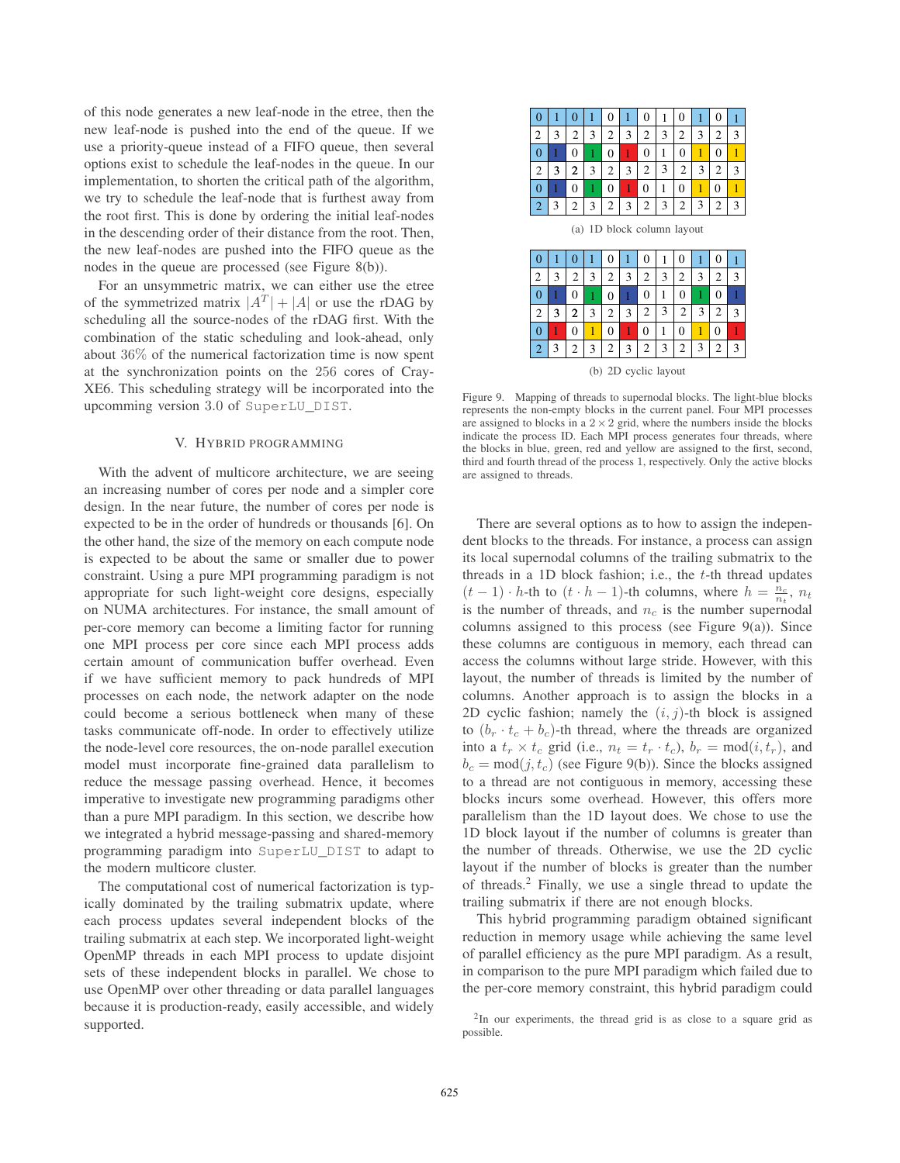of this node generates a new leaf-node in the etree, then the new leaf-node is pushed into the end of the queue. If we use a priority-queue instead of a FIFO queue, then several options exist to schedule the leaf-nodes in the queue. In our implementation, to shorten the critical path of the algorithm, we try to schedule the leaf-node that is furthest away from the root first. This is done by ordering the initial leaf-nodes in the descending order of their distance from the root. Then, the new leaf-nodes are pushed into the FIFO queue as the nodes in the queue are processed (see Figure 8(b)).

For an unsymmetric matrix, we can either use the etree of the symmetrized matrix  $|A^T| + |A|$  or use the rDAG by scheduling all the source-nodes of the rDAG first. With the combination of the static scheduling and look-ahead, only about 36% of the numerical factorization time is now spent at the synchronization points on the 256 cores of Cray-XE6. This scheduling strategy will be incorporated into the upcomming version 3.0 of SuperLU\_DIST.

#### V. HYBRID PROGRAMMING

With the advent of multicore architecture, we are seeing an increasing number of cores per node and a simpler core design. In the near future, the number of cores per node is expected to be in the order of hundreds or thousands [6]. On the other hand, the size of the memory on each compute node is expected to be about the same or smaller due to power constraint. Using a pure MPI programming paradigm is not appropriate for such light-weight core designs, especially on NUMA architectures. For instance, the small amount of per-core memory can become a limiting factor for running one MPI process per core since each MPI process adds certain amount of communication buffer overhead. Even if we have sufficient memory to pack hundreds of MPI processes on each node, the network adapter on the node could become a serious bottleneck when many of these tasks communicate off-node. In order to effectively utilize the node-level core resources, the on-node parallel execution model must incorporate fine-grained data parallelism to reduce the message passing overhead. Hence, it becomes imperative to investigate new programming paradigms other than a pure MPI paradigm. In this section, we describe how we integrated a hybrid message-passing and shared-memory programming paradigm into SuperLU\_DIST to adapt to the modern multicore cluster.

The computational cost of numerical factorization is typically dominated by the trailing submatrix update, where each process updates several independent blocks of the trailing submatrix at each step. We incorporated light-weight OpenMP threads in each MPI process to update disjoint sets of these independent blocks in parallel. We chose to use OpenMP over other threading or data parallel languages because it is production-ready, easily accessible, and widely supported.



Figure 9. Mapping of threads to supernodal blocks. The light-blue blocks represents the non-empty blocks in the current panel. Four MPI processes are assigned to blocks in a  $2 \times 2$  grid, where the numbers inside the blocks indicate the process ID. Each MPI process generates four threads, where the blocks in blue, green, red and yellow are assigned to the first, second, third and fourth thread of the process 1, respectively. Only the active blocks are assigned to threads.

There are several options as to how to assign the independent blocks to the threads. For instance, a process can assign its local supernodal columns of the trailing submatrix to the threads in a 1D block fashion; i.e., the  $t$ -th thread updates  $(t-1) \cdot h$ -th to  $(t \cdot h - 1)$ -th columns, where  $h = \frac{n_c}{n_t}$ ,  $n_t$ is the number of threads, and  $n_c$  is the number supernodal columns assigned to this process (see Figure 9(a)). Since these columns are contiguous in memory, each thread can access the columns without large stride. However, with this layout, the number of threads is limited by the number of columns. Another approach is to assign the blocks in a 2D cyclic fashion; namely the  $(i, j)$ -th block is assigned to  $(b_r \cdot t_c + b_c)$ -th thread, where the threads are organized into a  $t_r \times t_c$  grid (i.e.,  $n_t = t_r \cdot t_c$ ),  $b_r = \text{mod}(i, t_r)$ , and  $b_c = \text{mod}(j, t_c)$  (see Figure 9(b)). Since the blocks assigned to a thread are not contiguous in memory, accessing these blocks incurs some overhead. However, this offers more parallelism than the 1D layout does. We chose to use the 1D block layout if the number of columns is greater than the number of threads. Otherwise, we use the 2D cyclic layout if the number of blocks is greater than the number of threads.<sup>2</sup> Finally, we use a single thread to update the trailing submatrix if there are not enough blocks.

This hybrid programming paradigm obtained significant reduction in memory usage while achieving the same level of parallel efficiency as the pure MPI paradigm. As a result, in comparison to the pure MPI paradigm which failed due to the per-core memory constraint, this hybrid paradigm could

<sup>&</sup>lt;sup>2</sup>In our experiments, the thread grid is as close to a square grid as possible.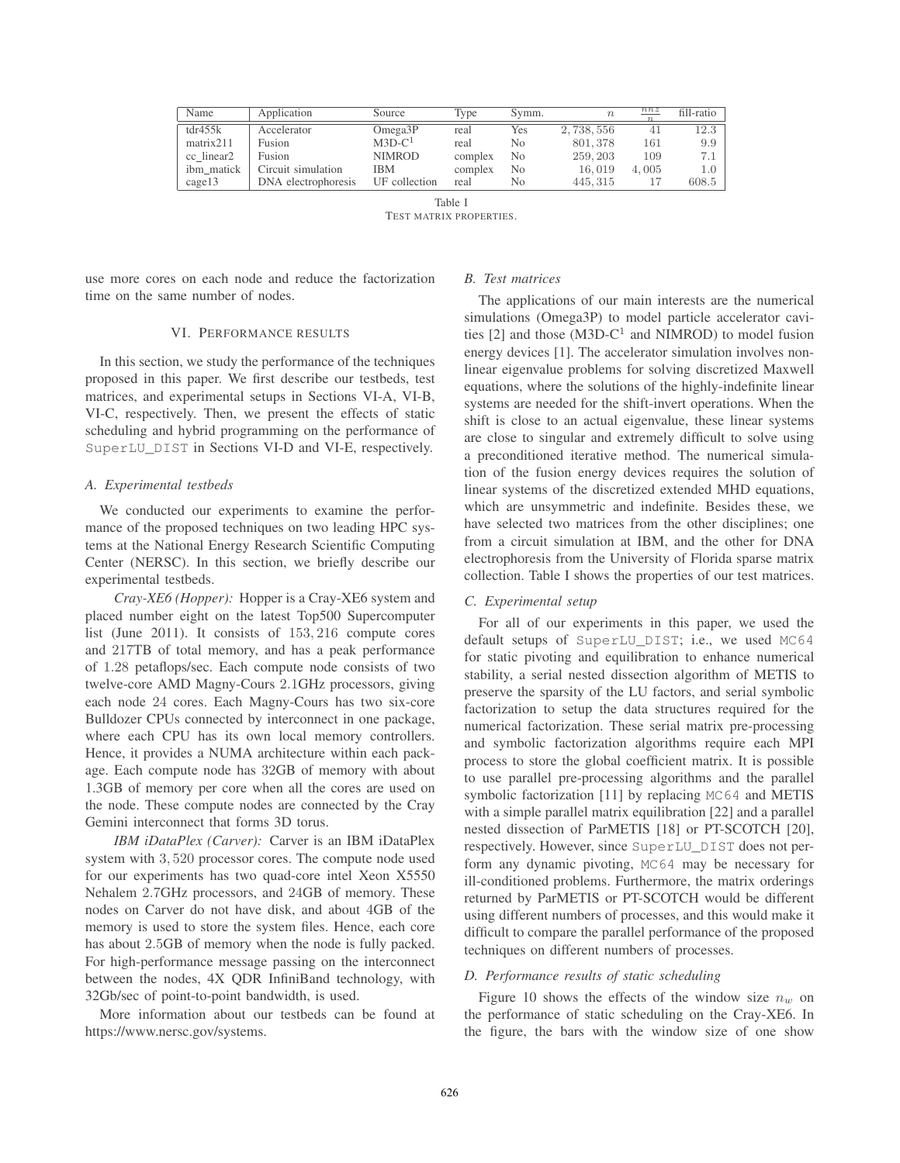| Name                   | Application         | Source        | Type    | Symm. | $n_{\cdot}$ | nnz   | fill-ratio |
|------------------------|---------------------|---------------|---------|-------|-------------|-------|------------|
| tdr455k                | Accelerator         | Omega3P       | real    | Yes   | 2,738,556   | 41    | 12.3       |
| matrix 211             | Fusion              | $M3D-C1$      | real    | Nο    | 801.378     | 161   | 9.9        |
| cc linear <sub>2</sub> | Fusion              | <b>NIMROD</b> | complex | No    | 259, 203    | 109   |            |
| ibm matick             | Circuit simulation  | IBM           | complex | No    | 16,019      | 4.005 | 1.0        |
| cage13                 | DNA electrophoresis | UF collection | real    | No    | 445, 315    |       | 608.5      |

Table I

TEST MATRIX PROPERTIES.

use more cores on each node and reduce the factorization time on the same number of nodes.

#### VI. PERFORMANCE RESULTS

In this section, we study the performance of the techniques proposed in this paper. We first describe our testbeds, test matrices, and experimental setups in Sections VI-A, VI-B, VI-C, respectively. Then, we present the effects of static scheduling and hybrid programming on the performance of SuperLU\_DIST in Sections VI-D and VI-E, respectively.

### *A. Experimental testbeds*

We conducted our experiments to examine the performance of the proposed techniques on two leading HPC systems at the National Energy Research Scientific Computing Center (NERSC). In this section, we briefly describe our experimental testbeds.

*Cray-XE6 (Hopper):* Hopper is a Cray-XE6 system and placed number eight on the latest Top500 Supercomputer list (June 2011). It consists of 153, 216 compute cores and 217TB of total memory, and has a peak performance of 1.28 petaflops/sec. Each compute node consists of two twelve-core AMD Magny-Cours 2.1GHz processors, giving each node 24 cores. Each Magny-Cours has two six-core Bulldozer CPUs connected by interconnect in one package, where each CPU has its own local memory controllers. Hence, it provides a NUMA architecture within each package. Each compute node has 32GB of memory with about 1.3GB of memory per core when all the cores are used on the node. These compute nodes are connected by the Cray Gemini interconnect that forms 3D torus.

*IBM iDataPlex (Carver):* Carver is an IBM iDataPlex system with 3, 520 processor cores. The compute node used for our experiments has two quad-core intel Xeon X5550 Nehalem 2.7GHz processors, and 24GB of memory. These nodes on Carver do not have disk, and about 4GB of the memory is used to store the system files. Hence, each core has about 2.5GB of memory when the node is fully packed. For high-performance message passing on the interconnect between the nodes, 4X QDR InfiniBand technology, with 32Gb/sec of point-to-point bandwidth, is used.

More information about our testbeds can be found at https://www.nersc.gov/systems.

#### *B. Test matrices*

The applications of our main interests are the numerical simulations (Omega3P) to model particle accelerator cavities [2] and those  $(M3D-C<sup>1</sup>$  and NIMROD) to model fusion energy devices [1]. The accelerator simulation involves nonlinear eigenvalue problems for solving discretized Maxwell equations, where the solutions of the highly-indefinite linear systems are needed for the shift-invert operations. When the shift is close to an actual eigenvalue, these linear systems are close to singular and extremely difficult to solve using a preconditioned iterative method. The numerical simulation of the fusion energy devices requires the solution of linear systems of the discretized extended MHD equations, which are unsymmetric and indefinite. Besides these, we have selected two matrices from the other disciplines; one from a circuit simulation at IBM, and the other for DNA electrophoresis from the University of Florida sparse matrix collection. Table I shows the properties of our test matrices.

## *C. Experimental setup*

For all of our experiments in this paper, we used the default setups of SuperLU\_DIST; i.e., we used MC64 for static pivoting and equilibration to enhance numerical stability, a serial nested dissection algorithm of METIS to preserve the sparsity of the LU factors, and serial symbolic factorization to setup the data structures required for the numerical factorization. These serial matrix pre-processing and symbolic factorization algorithms require each MPI process to store the global coefficient matrix. It is possible to use parallel pre-processing algorithms and the parallel symbolic factorization [11] by replacing MC64 and METIS with a simple parallel matrix equilibration [22] and a parallel nested dissection of ParMETIS [18] or PT-SCOTCH [20], respectively. However, since SuperLU\_DIST does not perform any dynamic pivoting, MC64 may be necessary for ill-conditioned problems. Furthermore, the matrix orderings returned by ParMETIS or PT-SCOTCH would be different using different numbers of processes, and this would make it difficult to compare the parallel performance of the proposed techniques on different numbers of processes.

## *D. Performance results of static scheduling*

Figure 10 shows the effects of the window size  $n_w$  on the performance of static scheduling on the Cray-XE6. In the figure, the bars with the window size of one show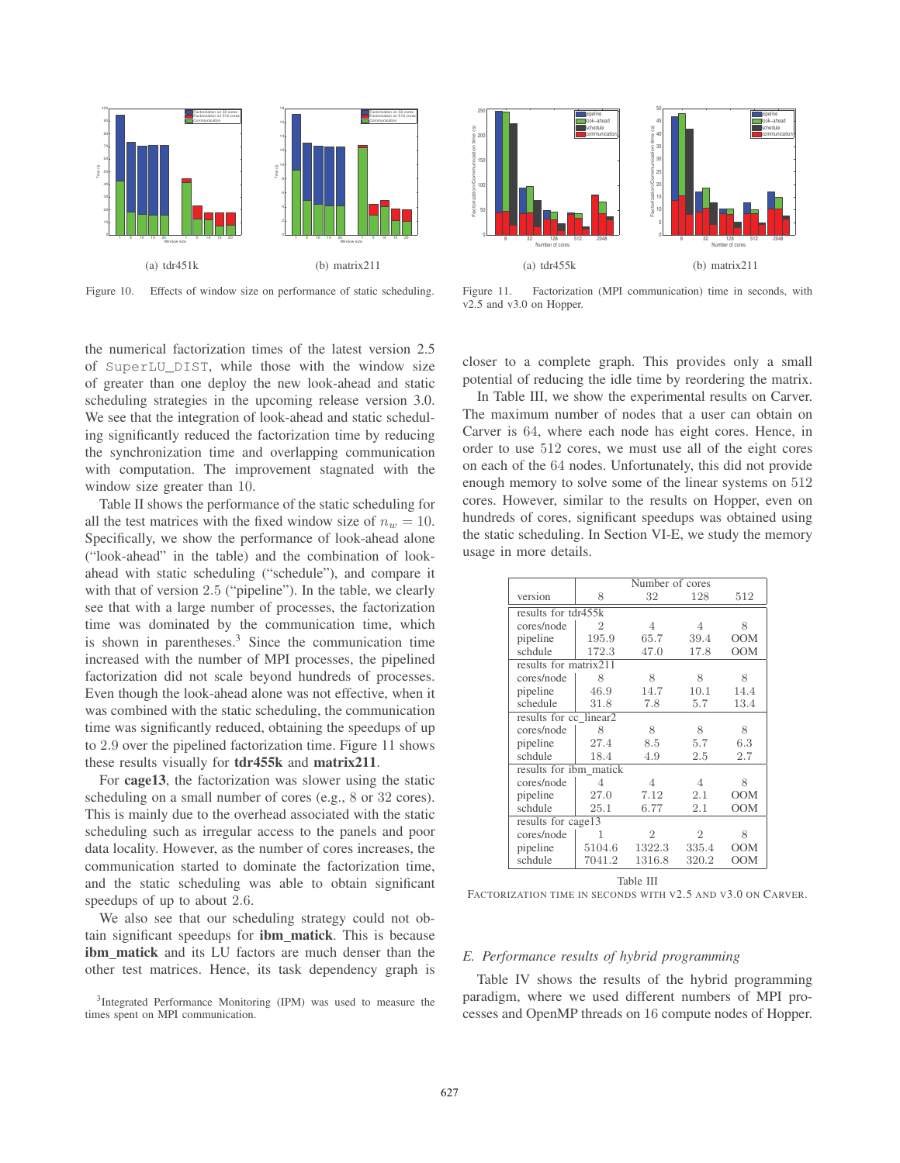

Figure 10. Effects of window size on performance of static scheduling.



Figure 11. Factorization (MPI communication) time in seconds, with v2.5 and v3.0 on Hopper.

the numerical factorization times of the latest version 2.5 of SuperLU\_DIST, while those with the window size of greater than one deploy the new look-ahead and static scheduling strategies in the upcoming release version 3.0. We see that the integration of look-ahead and static scheduling significantly reduced the factorization time by reducing the synchronization time and overlapping communication with computation. The improvement stagnated with the window size greater than 10.

Table II shows the performance of the static scheduling for all the test matrices with the fixed window size of  $n_w = 10$ . Specifically, we show the performance of look-ahead alone ("look-ahead" in the table) and the combination of lookahead with static scheduling ("schedule"), and compare it with that of version 2.5 ("pipeline"). In the table, we clearly see that with a large number of processes, the factorization time was dominated by the communication time, which is shown in parentheses.<sup>3</sup> Since the communication time increased with the number of MPI processes, the pipelined factorization did not scale beyond hundreds of processes. Even though the look-ahead alone was not effective, when it was combined with the static scheduling, the communication time was significantly reduced, obtaining the speedups of up to 2.9 over the pipelined factorization time. Figure 11 shows these results visually for tdr455k and matrix211.

For cage13, the factorization was slower using the static scheduling on a small number of cores (e.g., 8 or 32 cores). This is mainly due to the overhead associated with the static scheduling such as irregular access to the panels and poor data locality. However, as the number of cores increases, the communication started to dominate the factorization time, and the static scheduling was able to obtain significant speedups of up to about 2.6.

We also see that our scheduling strategy could not obtain significant speedups for ibm\_matick. This is because ibm\_matick and its LU factors are much denser than the other test matrices. Hence, its task dependency graph is closer to a complete graph. This provides only a small potential of reducing the idle time by reordering the matrix.

In Table III, we show the experimental results on Carver. The maximum number of nodes that a user can obtain on Carver is 64, where each node has eight cores. Hence, in order to use 512 cores, we must use all of the eight cores on each of the 64 nodes. Unfortunately, this did not provide enough memory to solve some of the linear systems on 512 cores. However, similar to the results on Hopper, even on hundreds of cores, significant speedups was obtained using the static scheduling. In Section VI-E, we study the memory usage in more details.

|                        | Number of cores    |                |                |            |  |  |  |  |
|------------------------|--------------------|----------------|----------------|------------|--|--|--|--|
| version                | 8                  | 32             | 128            | 512        |  |  |  |  |
| results for tdr455k    |                    |                |                |            |  |  |  |  |
| cores/node             | $\overline{2}$     | $\overline{4}$ | 4              | 8          |  |  |  |  |
| pipeline               | 195.9              | 65.7           | 39.4           | <b>OOM</b> |  |  |  |  |
| schdule                | 172.3              | 47.0           | 17.8           | <b>OOM</b> |  |  |  |  |
| results for matrix211  |                    |                |                |            |  |  |  |  |
| cores/node             | 8                  | 8              | 8              | 8          |  |  |  |  |
| pipeline               | 46.9               | 14.7           | 10.1           | 14.4       |  |  |  |  |
| schedule               | 31.8               | 7.8            | 5.7            | 13.4       |  |  |  |  |
| results for cc linear2 |                    |                |                |            |  |  |  |  |
| cores/node             | 8                  | 8              | 8              | 8          |  |  |  |  |
| pipeline               | 27.4               | 8.5            | 5.7            | 6.3        |  |  |  |  |
| schdule                | 18.4               | 4.9            | 2.5            | 2.7        |  |  |  |  |
| results for ibm matick |                    |                |                |            |  |  |  |  |
| cores/node             | 4                  | 4              | 4              | 8          |  |  |  |  |
| pipeline               | 27.0               | 7.12           | 2.1            | <b>OOM</b> |  |  |  |  |
| schdule                | 25.1               | 6.77           | 2.1            | <b>OOM</b> |  |  |  |  |
|                        | results for cage13 |                |                |            |  |  |  |  |
| cores/node             | 1                  | $\mathfrak{2}$ | $\overline{2}$ | 8          |  |  |  |  |
| pipeline               | 5104.6             | 1322.3         | 335.4          | <b>OOM</b> |  |  |  |  |
| schdule                | 7041.2             | 1316.8         | 320.2          | <b>OOM</b> |  |  |  |  |
| Table III              |                    |                |                |            |  |  |  |  |

FACTORIZATION TIME IN SECONDS WITH V2.5 AND V3.0 ON CARVER.

#### *E. Performance results of hybrid programming*

Table IV shows the results of the hybrid programming paradigm, where we used different numbers of MPI processes and OpenMP threads on 16 compute nodes of Hopper.

<sup>3</sup>Integrated Performance Monitoring (IPM) was used to measure the times spent on MPI communication.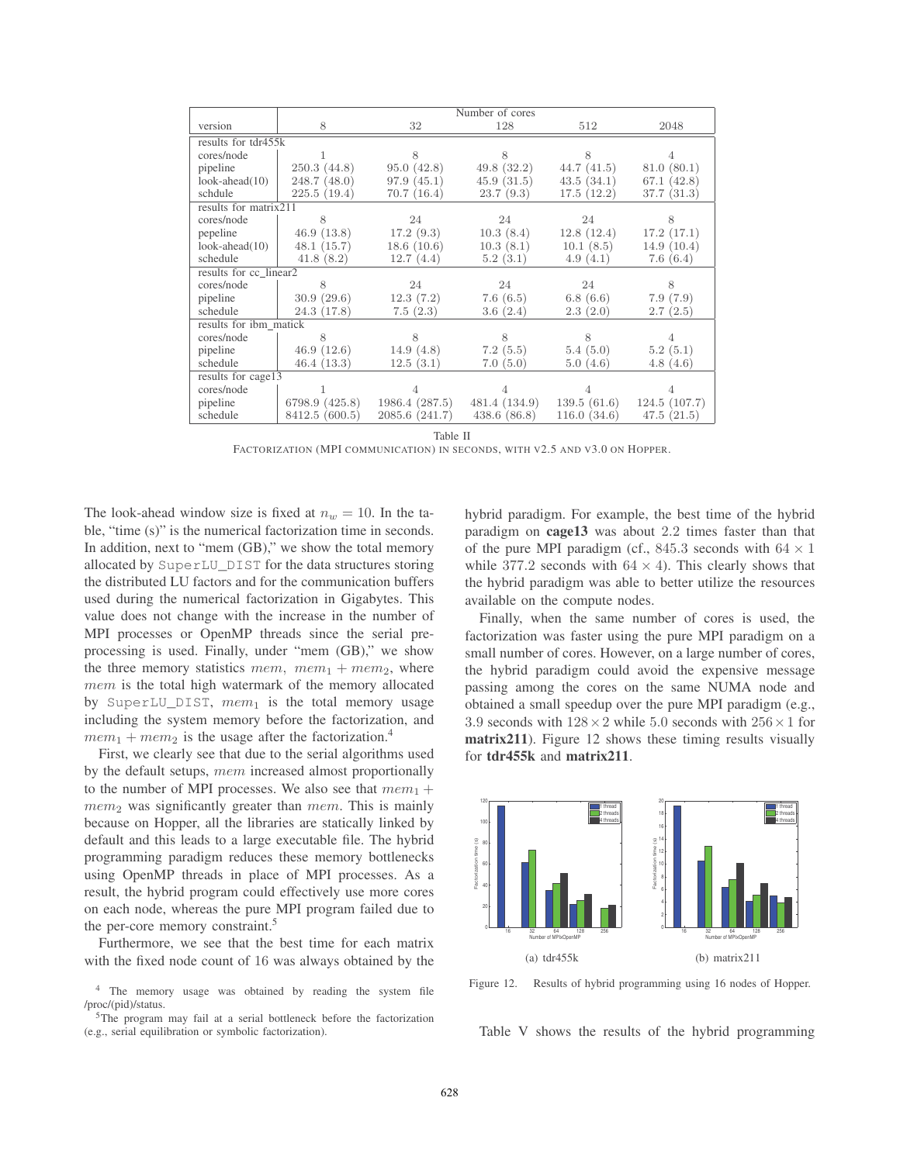|                        | Number of cores |                |               |             |              |  |  |  |
|------------------------|-----------------|----------------|---------------|-------------|--------------|--|--|--|
| version                | 8               | 32             | 128           | 512         | 2048         |  |  |  |
| results for tdr455k    |                 |                |               |             |              |  |  |  |
| cores/node             | 1               | 8              | 8             | 8           |              |  |  |  |
| pipeline               | 250.3(44.8)     | 95.0(42.8)     | 49.8(32.2)    | 44.7(41.5)  | 81.0 (80.1)  |  |  |  |
| look-ahead $(10)$      | 248.7(48.0)     | 97.9(45.1)     | 45.9(31.5)    | 43.5(34.1)  | 67.1(42.8)   |  |  |  |
| schdule                | 225.5(19.4)     | 70.7(16.4)     | 23.7(9.3)     | 17.5(12.2)  | 37.7(31.3)   |  |  |  |
| results for matrix211  |                 |                |               |             |              |  |  |  |
| cores/node             | 8               | 24             | 24            | 24          | 8            |  |  |  |
| pepeline               | 46.9(13.8)      | 17.2(9.3)      | 10.3(8.4)     | 12.8(12.4)  | 17.2(17.1)   |  |  |  |
| look-ahead $(10)$      | 48.1(15.7)      | 18.6(10.6)     | 10.3(8.1)     | 10.1(8.5)   | 14.9(10.4)   |  |  |  |
| schedule               | 41.8(8.2)       | 12.7(4.4)      | 5.2(3.1)      | 4.9(4.1)    | 7.6(6.4)     |  |  |  |
| results for cc linear2 |                 |                |               |             |              |  |  |  |
| cores/node             | 8               | 24             | 24            | 24          | 8            |  |  |  |
| pipeline               | 30.9(29.6)      | 12.3(7.2)      | 7.6(6.5)      | 6.8(6.6)    | 7.9(7.9)     |  |  |  |
| schedule               | 24.3 (17.8)     | 7.5(2.3)       | 3.6(2.4)      | 2.3(2.0)    | 2.7(2.5)     |  |  |  |
| results for ibm matick |                 |                |               |             |              |  |  |  |
| cores/node             | 8               | 8              | 8             | 8           |              |  |  |  |
| pipeline               | 46.9(12.6)      | 14.9 $(4.8)$   | 7.2(5.5)      | 5.4(5.0)    | 5.2(5.1)     |  |  |  |
| schedule               | 46.4(13.3)      | 12.5(3.1)      | 7.0(5.0)      | 5.0(4.6)    | 4.8 $(4.6)$  |  |  |  |
| results for cage13     |                 |                |               |             |              |  |  |  |
| cores/node             |                 |                | 4             | 4           |              |  |  |  |
| pipeline               | 6798.9 (425.8)  | 1986.4 (287.5) | 481.4 (134.9) | 139.5(61.6) | 124.5(107.7) |  |  |  |
| schedule               | 8412.5 (600.5)  | 2085.6 (241.7) | 438.6(86.8)   | 116.0(34.6) | 47.5(21.5)   |  |  |  |
|                        |                 |                |               |             |              |  |  |  |

Table II

FACTORIZATION (MPI COMMUNICATION) IN SECONDS, WITH V2.5 AND V3.0 ON HOPPER.

The look-ahead window size is fixed at  $n_w = 10$ . In the table, "time (s)" is the numerical factorization time in seconds. In addition, next to "mem (GB)," we show the total memory allocated by SuperLU\_DIST for the data structures storing the distributed LU factors and for the communication buffers used during the numerical factorization in Gigabytes. This value does not change with the increase in the number of MPI processes or OpenMP threads since the serial preprocessing is used. Finally, under "mem (GB)," we show the three memory statistics mem,  $mem_1 + mem_2$ , where mem is the total high watermark of the memory allocated by SuperLU\_DIST,  $mem_1$  is the total memory usage including the system memory before the factorization, and  $mem_1 + mem_2$  is the usage after the factorization.<sup>4</sup>

First, we clearly see that due to the serial algorithms used by the default setups, mem increased almost proportionally to the number of MPI processes. We also see that  $mem_1 +$  $mem_2$  was significantly greater than  $mem$ . This is mainly because on Hopper, all the libraries are statically linked by default and this leads to a large executable file. The hybrid programming paradigm reduces these memory bottlenecks using OpenMP threads in place of MPI processes. As a result, the hybrid program could effectively use more cores on each node, whereas the pure MPI program failed due to the per-core memory constraint.<sup>5</sup>

Furthermore, we see that the best time for each matrix with the fixed node count of 16 was always obtained by the hybrid paradigm. For example, the best time of the hybrid paradigm on cage13 was about 2.2 times faster than that of the pure MPI paradigm (cf., 845.3 seconds with  $64 \times 1$ while 377.2 seconds with  $64 \times 4$ ). This clearly shows that the hybrid paradigm was able to better utilize the resources available on the compute nodes.

Finally, when the same number of cores is used, the factorization was faster using the pure MPI paradigm on a small number of cores. However, on a large number of cores, the hybrid paradigm could avoid the expensive message passing among the cores on the same NUMA node and obtained a small speedup over the pure MPI paradigm (e.g., 3.9 seconds with  $128 \times 2$  while 5.0 seconds with  $256 \times 1$  for matrix211). Figure 12 shows these timing results visually for tdr455k and matrix211.



Figure 12. Results of hybrid programming using 16 nodes of Hopper.

Table V shows the results of the hybrid programming

<sup>4</sup> The memory usage was obtained by reading the system file /proc/(pid)/status.

<sup>&</sup>lt;sup>5</sup>The program may fail at a serial bottleneck before the factorization (e.g., serial equilibration or symbolic factorization).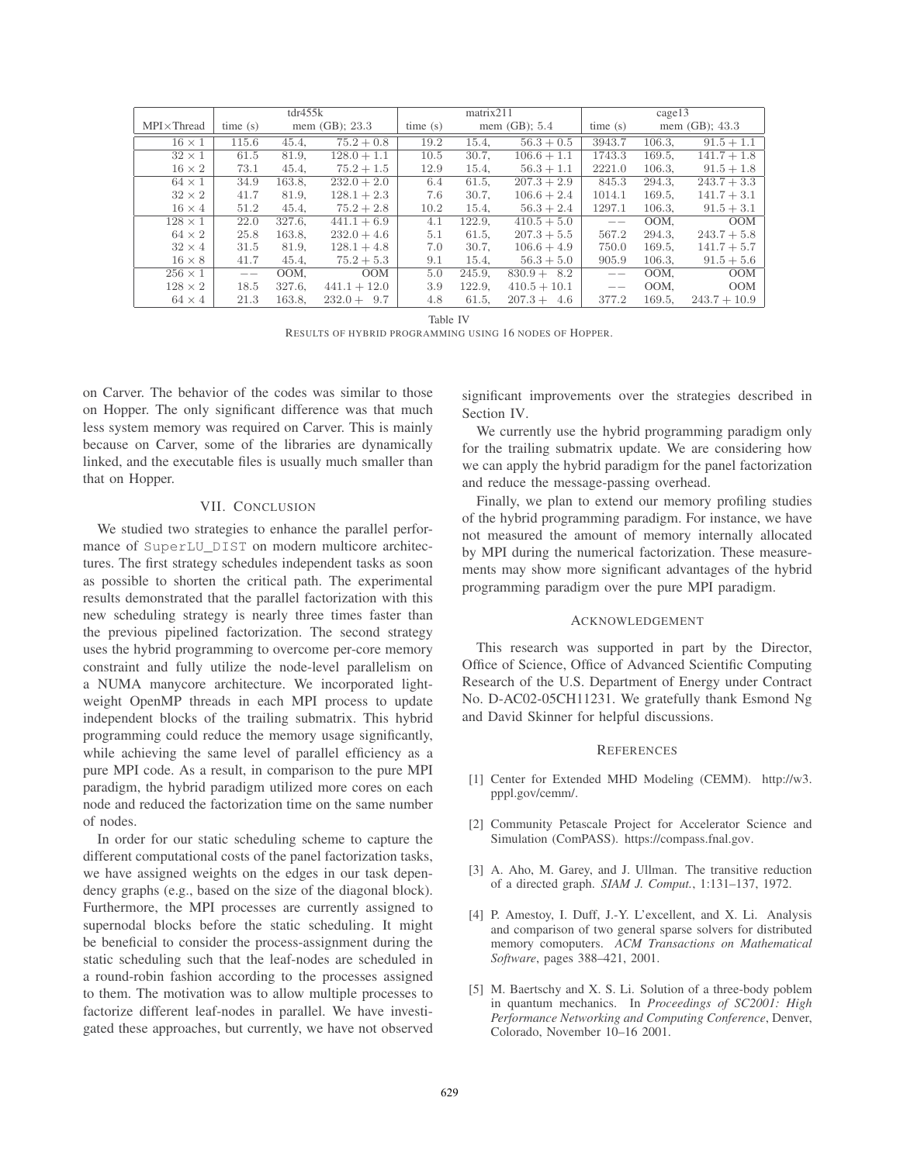|                     | tdr455k           |                   |                | matrix211 |        |                  | cage13            |                              |                |
|---------------------|-------------------|-------------------|----------------|-----------|--------|------------------|-------------------|------------------------------|----------------|
| $MPI \times Thread$ | time(s)           | mem $(GB)$ ; 23.3 |                | time(s)   |        | mem $(GB)$ ; 5.4 |                   | mem $(GB)$ ; 43.3<br>time(s) |                |
| $16 \times 1$       | 115.6             | 45.4,             | $75.2 + 0.8$   | 19.2      | 15.4,  | $56.3 + 0.5$     | 3943.7            | 106.3,                       | $91.5 + 1.1$   |
| $32 \times 1$       | 61.5              | 81.9.             | $128.0 + 1.1$  | 10.5      | 30.7.  | $106.6 + 1.1$    | 1743.3            | 169.5.                       | $141.7 + 1.8$  |
| $16 \times 2$       | 73.1              | 45.4,             | $75.2 + 1.5$   | 12.9      | 15.4,  | $56.3 + 1.1$     | 2221.0            | 106.3,                       | $91.5 + 1.8$   |
| $64 \times 1$       | 34.9              | 163.8.            | $232.0 + 2.0$  | 6.4       | 61.5.  | $207.3 + 2.9$    | 845.3             | 294.3.                       | $243.7 + 3.3$  |
| $32 \times 2$       | 41.7              | 81.9,             | $128.1 + 2.3$  | 7.6       | 30.7,  | $106.6 + 2.4$    | 1014.1            | 169.5.                       | $141.7 + 3.1$  |
| $16 \times 4$       | 51.2              | 45.4,             | $75.2 + 2.8$   | 10.2      | 15.4,  | $56.3 + 2.4$     | 1297.1            | 106.3,                       | $91.5 + 3.1$   |
| $128 \times 1$      | 22.0              | 327.6.            | $441.1 + 6.9$  | 4.1       | 122.9. | $410.5 + 5.0$    | $\qquad \qquad -$ | OOM.                         | <b>OOM</b>     |
| $64 \times 2$       | 25.8              | 163.8,            | $232.0 + 4.6$  | 5.1       | 61.5,  | $207.3 + 5.5$    | 567.2             | 294.3,                       | $243.7 + 5.8$  |
| $32 \times 4$       | 31.5              | 81.9.             | $128.1 + 4.8$  | 7.0       | 30.7.  | $106.6 + 4.9$    | 750.0             | 169.5.                       | $141.7 + 5.7$  |
| $16 \times 8$       | 41.7              | 45.4,             | $75.2 + 5.3$   | 9.1       | 15.4,  | $56.3 + 5.0$     | 905.9             | 106.3,                       | $91.5 + 5.6$   |
| $256 \times 1$      | $\qquad \qquad -$ | OOM.              | <b>OOM</b>     | 5.0       | 245.9. | $830.9 + 8.2$    | $\qquad \qquad -$ | OOM.                         | <b>OOM</b>     |
| $128 \times 2$      | 18.5              | 327.6.            | $441.1 + 12.0$ | 3.9       | 122.9. | $410.5 + 10.1$   | $\qquad \qquad -$ | OOM.                         | <b>OOM</b>     |
| $64 \times 4$       | 21.3              | 163.8,            | $232.0 + 9.7$  | 4.8       | 61.5,  | $207.3+$<br>4.6  | 377.2             | 169.5.                       | $243.7 + 10.9$ |

Table IV

RESULTS OF HYBRID PROGRAMMING USING 16 NODES OF HOPPER.

on Carver. The behavior of the codes was similar to those on Hopper. The only significant difference was that much less system memory was required on Carver. This is mainly because on Carver, some of the libraries are dynamically linked, and the executable files is usually much smaller than that on Hopper.

#### VII. CONCLUSION

We studied two strategies to enhance the parallel performance of SuperLU\_DIST on modern multicore architectures. The first strategy schedules independent tasks as soon as possible to shorten the critical path. The experimental results demonstrated that the parallel factorization with this new scheduling strategy is nearly three times faster than the previous pipelined factorization. The second strategy uses the hybrid programming to overcome per-core memory constraint and fully utilize the node-level parallelism on a NUMA manycore architecture. We incorporated lightweight OpenMP threads in each MPI process to update independent blocks of the trailing submatrix. This hybrid programming could reduce the memory usage significantly, while achieving the same level of parallel efficiency as a pure MPI code. As a result, in comparison to the pure MPI paradigm, the hybrid paradigm utilized more cores on each node and reduced the factorization time on the same number of nodes.

In order for our static scheduling scheme to capture the different computational costs of the panel factorization tasks, we have assigned weights on the edges in our task dependency graphs (e.g., based on the size of the diagonal block). Furthermore, the MPI processes are currently assigned to supernodal blocks before the static scheduling. It might be beneficial to consider the process-assignment during the static scheduling such that the leaf-nodes are scheduled in a round-robin fashion according to the processes assigned to them. The motivation was to allow multiple processes to factorize different leaf-nodes in parallel. We have investigated these approaches, but currently, we have not observed

significant improvements over the strategies described in Section IV.

We currently use the hybrid programming paradigm only for the trailing submatrix update. We are considering how we can apply the hybrid paradigm for the panel factorization and reduce the message-passing overhead.

Finally, we plan to extend our memory profiling studies of the hybrid programming paradigm. For instance, we have not measured the amount of memory internally allocated by MPI during the numerical factorization. These measurements may show more significant advantages of the hybrid programming paradigm over the pure MPI paradigm.

# ACKNOWLEDGEMENT

This research was supported in part by the Director, Office of Science, Office of Advanced Scientific Computing Research of the U.S. Department of Energy under Contract No. D-AC02-05CH11231. We gratefully thank Esmond Ng and David Skinner for helpful discussions.

#### **REFERENCES**

- [1] Center for Extended MHD Modeling (CEMM). http://w3. pppl.gov/cemm/.
- [2] Community Petascale Project for Accelerator Science and Simulation (ComPASS). https://compass.fnal.gov.
- [3] A. Aho, M. Garey, and J. Ullman. The transitive reduction of a directed graph. *SIAM J. Comput.*, 1:131–137, 1972.
- [4] P. Amestoy, I. Duff, J.-Y. L'excellent, and X. Li. Analysis and comparison of two general sparse solvers for distributed memory comoputers. *ACM Transactions on Mathematical Software*, pages 388–421, 2001.
- [5] M. Baertschy and X. S. Li. Solution of a three-body poblem in quantum mechanics. In *Proceedings of SC2001: High Performance Networking and Computing Conference*, Denver, Colorado, November 10–16 2001.